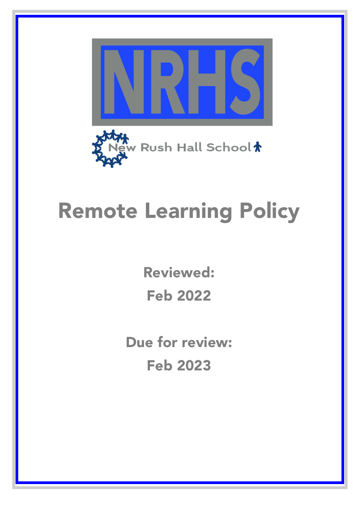

# Remote Learning Policy

Reviewed: Feb 2022

Due for review: Feb 2023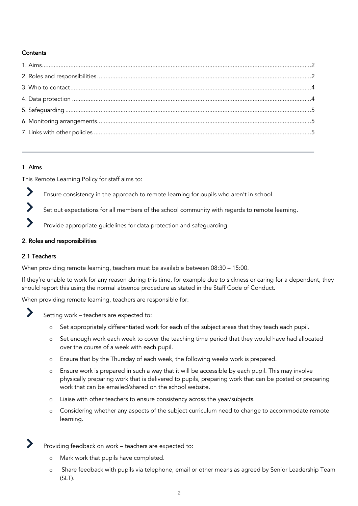# **Contents**

#### 1. Aims

This Remote Learning Policy for staff aims to:

- ▶ Ensure consistency in the approach to remote learning for pupils who aren't in school.
- $\blacktriangleright$ Set out expectations for all members of the school community with regards to remote learning.
- Provide appropriate guidelines for data protection and safeguarding.

#### 2. Roles and responsibilities

#### 2.1 Teachers

When providing remote learning, teachers must be available between 08:30 – 15:00.

If they're unable to work for any reason during this time, for example due to sickness or caring for a dependent, they should report this using the normal absence procedure as stated in the Staff Code of Conduct.

When providing remote learning, teachers are responsible for:



Setting work – teachers are expected to:

- o Set appropriately differentiated work for each of the subject areas that they teach each pupil.
- o Set enough work each week to cover the teaching time period that they would have had allocated over the course of a week with each pupil.
- o Ensure that by the Thursday of each week, the following weeks work is prepared.
- o Ensure work is prepared in such a way that it will be accessible by each pupil. This may involve physically preparing work that is delivered to pupils, preparing work that can be posted or preparing work that can be emailed/shared on the school website.
- o Liaise with other teachers to ensure consistency across the year/subjects.
- o Considering whether any aspects of the subject curriculum need to change to accommodate remote learning.

Providing feedback on work – teachers are expected to:

- o Mark work that pupils have completed.
- o Share feedback with pupils via telephone, email or other means as agreed by Senior Leadership Team (SLT).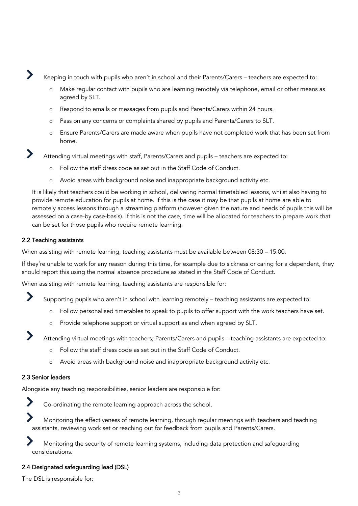Keeping in touch with pupils who aren't in school and their Parents/Carers – teachers are expected to:

- o Make regular contact with pupils who are learning remotely via telephone, email or other means as agreed by SLT.
- o Respond to emails or messages from pupils and Parents/Carers within 24 hours.
- o Pass on any concerns or complaints shared by pupils and Parents/Carers to SLT.
- o Ensure Parents/Carers are made aware when pupils have not completed work that has been set from home.

Attending virtual meetings with staff, Parents/Carers and pupils – teachers are expected to:

- o Follow the staff dress code as set out in the Staff Code of Conduct.
- o Avoid areas with background noise and inappropriate background activity etc.

It is likely that teachers could be working in school, delivering normal timetabled lessons, whilst also having to provide remote education for pupils at home. If this is the case it may be that pupils at home are able to remotely access lessons through a streaming platform (however given the nature and needs of pupils this will be assessed on a case-by case-basis). If this is not the case, time will be allocated for teachers to prepare work that can be set for those pupils who require remote learning.

#### 2.2 Teaching assistants

When assisting with remote learning, teaching assistants must be available between 08:30 – 15:00.

If they're unable to work for any reason during this time, for example due to sickness or caring for a dependent, they should report this using the normal absence procedure as stated in the Staff Code of Conduct.

When assisting with remote learning, teaching assistants are responsible for:

Supporting pupils who aren't in school with learning remotely – teaching assistants are expected to:

- o Follow personalised timetables to speak to pupils to offer support with the work teachers have set.
- o Provide telephone support or virtual support as and when agreed by SLT.

Attending virtual meetings with teachers, Parents/Carers and pupils – teaching assistants are expected to:

- o Follow the staff dress code as set out in the Staff Code of Conduct.
- o Avoid areas with background noise and inappropriate background activity etc.

#### 2.3 Senior leaders

Alongside any teaching responsibilities, senior leaders are responsible for:



Co-ordinating the remote learning approach across the school.

Monitoring the effectiveness of remote learning, through regular meetings with teachers and teaching assistants, reviewing work set or reaching out for feedback from pupils and Parents/Carers.

Monitoring the security of remote learning systems, including data protection and safeguarding considerations.

#### 2.4 Designated safeguarding lead (DSL)

The DSL is responsible for: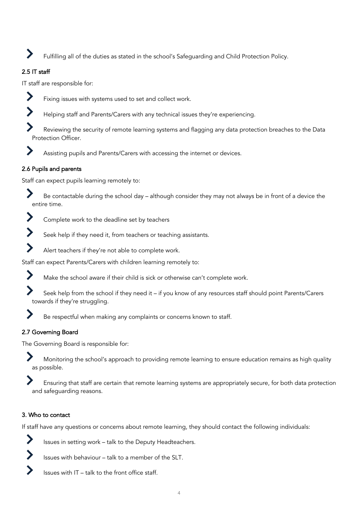Fulfilling all of the duties as stated in the school's Safeguarding and Child Protection Policy.

## 2.5 IT staff

IT staff are responsible for:



Fixing issues with systems used to set and collect work.

Helping staff and Parents/Carers with any technical issues they're experiencing.

Reviewing the security of remote learning systems and flagging any data protection breaches to the Data Protection Officer.



## 2.6 Pupils and parents

Staff can expect pupils learning remotely to:

Be contactable during the school day – although consider they may not always be in front of a device the entire time.



Seek help if they need it, from teachers or teaching assistants.



Staff can expect Parents/Carers with children learning remotely to:



 $\blacktriangleright$ 

Make the school aware if their child is sick or otherwise can't complete work.

Seek help from the school if they need it – if you know of any resources staff should point Parents/Carers towards if they're struggling.

Be respectful when making any complaints or concerns known to staff.

## 2.7 Governing Board

The Governing Board is responsible for:

Monitoring the school's approach to providing remote learning to ensure education remains as high quality as possible.

Ensuring that staff are certain that remote learning systems are appropriately secure, for both data protection and safeguarding reasons.

## 3. Who to contact

If staff have any questions or concerns about remote learning, they should contact the following individuals:



Issues with behaviour – talk to a member of the SLT.

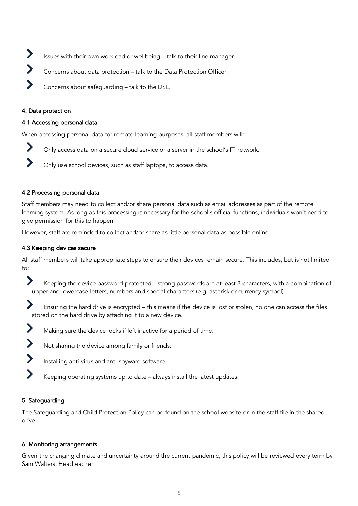- $\blacktriangleright$ Issues with their own workload or wellbeing – talk to their line manager.
- $\blacktriangleright$ Concerns about data protection – talk to the Data Protection Officer.

Concerns about safeguarding – talk to the DSL.

#### 4. Data protection

#### 4.1 Accessing personal data

When accessing personal data for remote learning purposes, all staff members will:

- Only access data on a secure cloud service or a server in the school's IT network.
- Only use school devices, such as staff laptops, to access data.

#### 4.2 Processing personal data

Staff members may need to collect and/or share personal data such as email addresses as part of the remote learning system. As long as this processing is necessary for the school's official functions, individuals won't need to give permission for this to happen.

However, staff are reminded to collect and/or share as little personal data as possible online.

## 4.3 Keeping devices secure

All staff members will take appropriate steps to ensure their devices remain secure. This includes, but is not limited to:

- $\blacktriangleright$ Keeping the device password-protected – strong passwords are at least 8 characters, with a combination of upper and lowercase letters, numbers and special characters (e.g. asterisk or currency symbol).
- Ensuring the hard drive is encrypted this means if the device is lost or stolen, no one can access the files stored on the hard drive by attaching it to a new device.
- $\sum_{i=1}^{n}$ Making sure the device locks if left inactive for a period of time.
- $\blacktriangleright$ Not sharing the device among family or friends.
- $\blacktriangleright$ Installing anti-virus and anti-spyware software.
- Keeping operating systems up to date always install the latest updates.

## 5. Safeguarding

The Safeguarding and Child Protection Policy can be found on the school website or in the staff file in the shared drive.

#### 6. Monitoring arrangements

Given the changing climate and uncertainty around the current pandemic, this policy will be reviewed every term by Sam Walters, Headteacher.